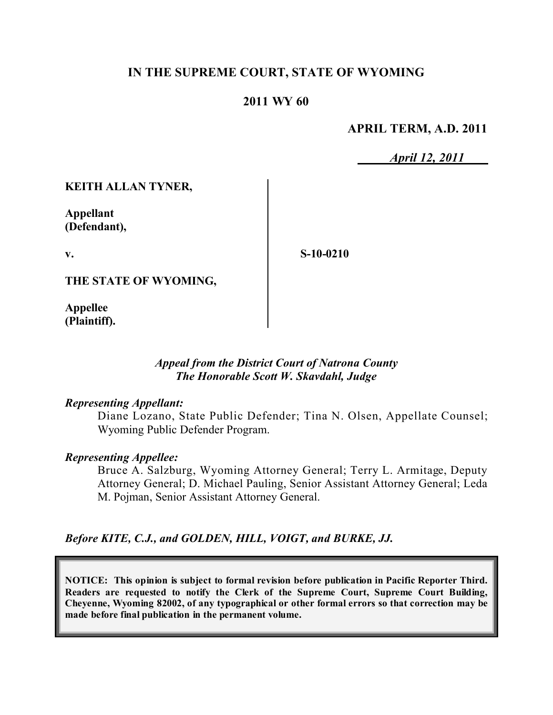# **IN THE SUPREME COURT, STATE OF WYOMING**

## **2011 WY 60**

### **APRIL TERM, A.D. 2011**

*April 12, 2011*

### **KEITH ALLAN TYNER,**

**Appellant (Defendant),**

**v.**

**S-10-0210**

**THE STATE OF WYOMING,**

**Appellee (Plaintiff).**

### *Appeal from the District Court of Natrona County The Honorable Scott W. Skavdahl, Judge*

#### *Representing Appellant:*

Diane Lozano, State Public Defender; Tina N. Olsen, Appellate Counsel; Wyoming Public Defender Program.

#### *Representing Appellee:*

Bruce A. Salzburg, Wyoming Attorney General; Terry L. Armitage, Deputy Attorney General; D. Michael Pauling, Senior Assistant Attorney General; Leda M. Pojman, Senior Assistant Attorney General.

### *Before KITE, C.J., and GOLDEN, HILL, VOIGT, and BURKE, JJ.*

**NOTICE: This opinion is subject to formal revision before publication in Pacific Reporter Third. Readers are requested to notify the Clerk of the Supreme Court, Supreme Court Building, Cheyenne, Wyoming 82002, of any typographical or other formal errors so that correction may be made before final publication in the permanent volume.**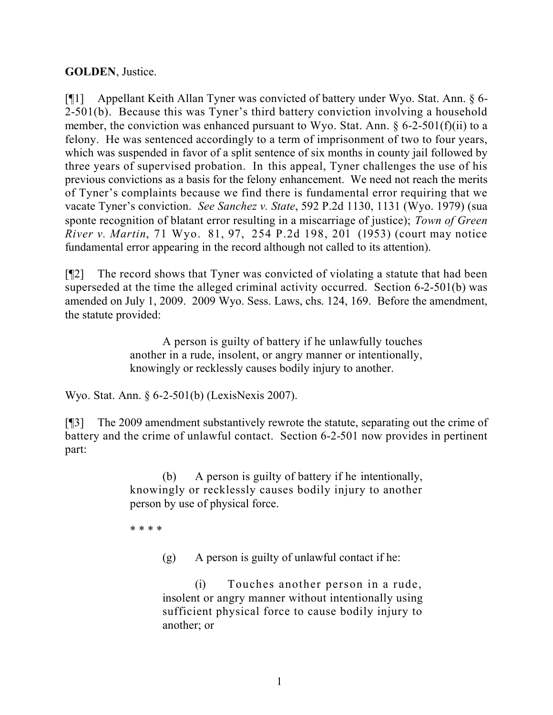## **GOLDEN**, Justice.

[¶1] Appellant Keith Allan Tyner was convicted of battery under Wyo. Stat. Ann. § 6- 2-501(b). Because this was Tyner's third battery conviction involving a household member, the conviction was enhanced pursuant to Wyo. Stat. Ann.  $\delta$  6-2-501(f)(ii) to a felony. He was sentenced accordingly to a term of imprisonment of two to four years, which was suspended in favor of a split sentence of six months in county jail followed by three years of supervised probation. In this appeal, Tyner challenges the use of his previous convictions as a basis for the felony enhancement. We need not reach the merits of Tyner's complaints because we find there is fundamental error requiring that we vacate Tyner's conviction. *See Sanchez v. State*, 592 P.2d 1130, 1131 (Wyo. 1979) (sua sponte recognition of blatant error resulting in a miscarriage of justice); *Town of Green River v. Martin*, 71 Wyo. 81, 97, 254 P.2d 198, 201 (1953) (court may notice fundamental error appearing in the record although not called to its attention).

[¶2] The record shows that Tyner was convicted of violating a statute that had been superseded at the time the alleged criminal activity occurred. Section 6-2-501(b) was amended on July 1, 2009. 2009 Wyo. Sess. Laws, chs. 124, 169. Before the amendment, the statute provided:

> A person is guilty of battery if he unlawfully touches another in a rude, insolent, or angry manner or intentionally, knowingly or recklessly causes bodily injury to another.

Wyo. Stat. Ann. § 6-2-501(b) (LexisNexis 2007).

[¶3] The 2009 amendment substantively rewrote the statute, separating out the crime of battery and the crime of unlawful contact. Section 6-2-501 now provides in pertinent part:

> (b) A person is guilty of battery if he intentionally, knowingly or recklessly causes bodily injury to another person by use of physical force.

\* \* \* \*

(g) A person is guilty of unlawful contact if he:

(i) Touches another person in a rude, insolent or angry manner without intentionally using sufficient physical force to cause bodily injury to another; or